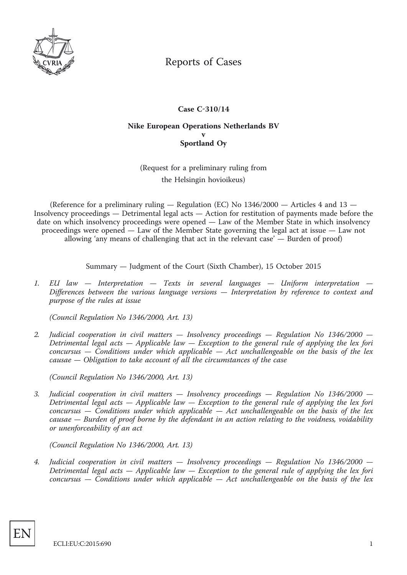

## Reports of Cases

## **Case C-310/14**

## **Nike European Operations Netherlands BV v Sportland Oy**

(Request for a preliminary ruling from the Helsingin hovioikeus)

(Reference for a preliminary ruling  $-$  Regulation (EC) No  $1346/2000 -$  Articles 4 and  $13 -$ Insolvency proceedings — Detrimental legal acts — Action for restitution of payments made before the date on which insolvency proceedings were opened — Law of the Member State in which insolvency proceedings were opened — Law of the Member State governing the legal act at issue — Law not allowing 'any means of challenging that act in the relevant case' — Burden of proof)

Summary — Judgment of the Court (Sixth Chamber), 15 October 2015

*1. EU law — Interpretation — Texts in several languages — Uniform interpretation — Differences between the various language versions — Interpretation by reference to context and purpose of the rules at issue*

*(Council Regulation No 1346/2000, Art. 13)*

*2. Judicial cooperation in civil matters — Insolvency proceedings — Regulation No 1346/2000 — Detrimental legal acts — Applicable law — Exception to the general rule of applying the lex fori concursus — Conditions under which applicable — Act unchallengeable on the basis of the lex causae — Obligation to take account of all the circumstances of the case*

*(Council Regulation No 1346/2000, Art. 13)*

*3. Judicial cooperation in civil matters — Insolvency proceedings — Regulation No 1346/2000 — Detrimental legal acts — Applicable law — Exception to the general rule of applying the lex fori concursus — Conditions under which applicable — Act unchallengeable on the basis of the lex causae — Burden of proof borne by the defendant in an action relating to the voidness, voidability or unenforceability of an act*

*(Council Regulation No 1346/2000, Art. 13)*

*4. Judicial cooperation in civil matters — Insolvency proceedings — Regulation No 1346/2000 — Detrimental legal acts — Applicable law — Exception to the general rule of applying the lex fori concursus — Conditions under which applicable — Act unchallengeable on the basis of the lex*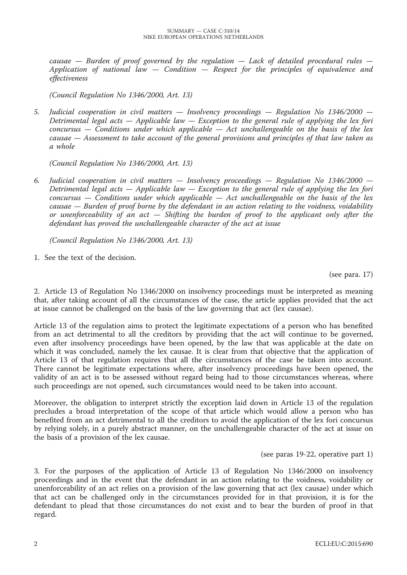*causae — Burden of proof governed by the regulation — Lack of detailed procedural rules — Application of national law — Condition — Respect for the principles of equivalence and effectiveness*

*(Council Regulation No 1346/2000, Art. 13)*

*5. Judicial cooperation in civil matters — Insolvency proceedings — Regulation No 1346/2000 — Detrimental legal acts — Applicable law — Exception to the general rule of applying the lex fori concursus — Conditions under which applicable — Act unchallengeable on the basis of the lex causae — Assessment to take account of the general provisions and principles of that law taken as a whole*

*(Council Regulation No 1346/2000, Art. 13)*

*6. Judicial cooperation in civil matters — Insolvency proceedings — Regulation No 1346/2000 — Detrimental legal acts — Applicable law — Exception to the general rule of applying the lex fori concursus — Conditions under which applicable — Act unchallengeable on the basis of the lex causae — Burden of proof borne by the defendant in an action relating to the voidness, voidability or unenforceability of an act — Shifting the burden of proof to the applicant only after the defendant has proved the unchallengeable character of the act at issue*

*(Council Regulation No 1346/2000, Art. 13)*

1. See the text of the decision.

(see para. 17)

2. Article 13 of Regulation No 1346/2000 on insolvency proceedings must be interpreted as meaning that, after taking account of all the circumstances of the case, the article applies provided that the act at issue cannot be challenged on the basis of the law governing that act (lex causae).

Article 13 of the regulation aims to protect the legitimate expectations of a person who has benefited from an act detrimental to all the creditors by providing that the act will continue to be governed, even after insolvency proceedings have been opened, by the law that was applicable at the date on which it was concluded, namely the lex causae. It is clear from that objective that the application of Article 13 of that regulation requires that all the circumstances of the case be taken into account. There cannot be legitimate expectations where, after insolvency proceedings have been opened, the validity of an act is to be assessed without regard being had to those circumstances whereas, where such proceedings are not opened, such circumstances would need to be taken into account.

Moreover, the obligation to interpret strictly the exception laid down in Article 13 of the regulation precludes a broad interpretation of the scope of that article which would allow a person who has benefited from an act detrimental to all the creditors to avoid the application of the lex fori concursus by relying solely, in a purely abstract manner, on the unchallengeable character of the act at issue on the basis of a provision of the lex causae.

(see paras 19-22, operative part 1)

3. For the purposes of the application of Article 13 of Regulation No 1346/2000 on insolvency proceedings and in the event that the defendant in an action relating to the voidness, voidability or unenforceability of an act relies on a provision of the law governing that act (lex causae) under which that act can be challenged only in the circumstances provided for in that provision, it is for the defendant to plead that those circumstances do not exist and to bear the burden of proof in that regard.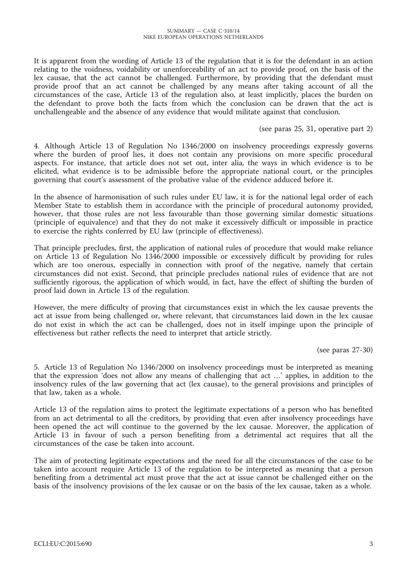It is apparent from the wording of Article 13 of the regulation that it is for the defendant in an action relating to the voidness, voidability or unenforceability of an act to provide proof, on the basis of the lex causae, that the act cannot be challenged. Furthermore, by providing that the defendant must provide proof that an act cannot be challenged by any means after taking account of all the circumstances of the case, Article 13 of the regulation also, at least implicitly, places the burden on the defendant to prove both the facts from which the conclusion can be drawn that the act is unchallengeable and the absence of any evidence that would militate against that conclusion.

(see paras 25, 31, operative part 2)

4. Although Article 13 of Regulation No 1346/2000 on insolvency proceedings expressly governs where the burden of proof lies, it does not contain any provisions on more specific procedural aspects. For instance, that article does not set out, inter alia, the ways in which evidence is to be elicited, what evidence is to be admissible before the appropriate national court, or the principles governing that court's assessment of the probative value of the evidence adduced before it.

In the absence of harmonisation of such rules under EU law, it is for the national legal order of each Member State to establish them in accordance with the principle of procedural autonomy provided, however, that those rules are not less favourable than those governing similar domestic situations (principle of equivalence) and that they do not make it excessively difficult or impossible in practice to exercise the rights conferred by EU law (principle of effectiveness).

That principle precludes, first, the application of national rules of procedure that would make reliance on Article 13 of Regulation No 1346/2000 impossible or excessively difficult by providing for rules which are too onerous, especially in connection with proof of the negative, namely that certain circumstances did not exist. Second, that principle precludes national rules of evidence that are not sufficiently rigorous, the application of which would, in fact, have the effect of shifting the burden of proof laid down in Article 13 of the regulation.

However, the mere difficulty of proving that circumstances exist in which the lex causae prevents the act at issue from being challenged or, where relevant, that circumstances laid down in the lex causae do not exist in which the act can be challenged, does not in itself impinge upon the principle of effectiveness but rather reflects the need to interpret that article strictly.

(see paras 27-30)

5. Article 13 of Regulation No 1346/2000 on insolvency proceedings must be interpreted as meaning that the expression 'does not allow any means of challenging that act …' applies, in addition to the insolvency rules of the law governing that act (lex causae), to the general provisions and principles of that law, taken as a whole.

Article 13 of the regulation aims to protect the legitimate expectations of a person who has benefited from an act detrimental to all the creditors, by providing that even after insolvency proceedings have been opened the act will continue to the governed by the lex causae. Moreover, the application of Article 13 in favour of such a person benefiting from a detrimental act requires that all the circumstances of the case be taken into account.

The aim of protecting legitimate expectations and the need for all the circumstances of the case to be taken into account require Article 13 of the regulation to be interpreted as meaning that a person benefiting from a detrimental act must prove that the act at issue cannot be challenged either on the basis of the insolvency provisions of the lex causae or on the basis of the lex causae, taken as a whole.